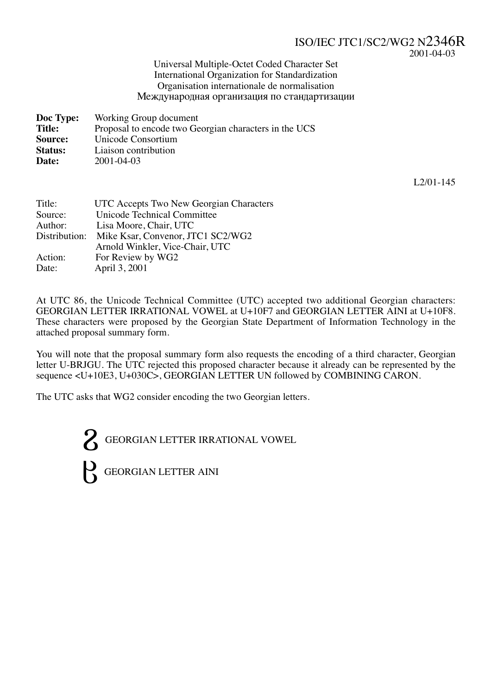#### ISO/IEC JTC1/SC2/WG2 N2346R 2001-04-03

#### Universal Multiple-Octet Coded Character Set International Organization for Standardization Organisation internationale de normalisation -еждународная организация по стандартизации

| Doc Type:      | Working Group document                                |
|----------------|-------------------------------------------------------|
| <b>Title:</b>  | Proposal to encode two Georgian characters in the UCS |
| Source:        | Unicode Consortium                                    |
| <b>Status:</b> | Liaison contribution                                  |
| Date:          | 2001-04-03                                            |

L2/01-145

| Title:        | UTC Accepts Two New Georgian Characters |
|---------------|-----------------------------------------|
| Source:       | Unicode Technical Committee             |
| Author:       | Lisa Moore, Chair, UTC                  |
| Distribution: | Mike Ksar, Convenor, JTC1 SC2/WG2       |
|               | Arnold Winkler, Vice-Chair, UTC         |
| Action:       | For Review by WG2                       |
| Date:         | April 3, 2001                           |

At UTC 86, the Unicode Technical Committee (UTC) accepted two additional Georgian characters: GEORGIAN LETTER IRRATIONAL VOWEL at U+10F7 and GEORGIAN LETTER AINI at U+10F8. These characters were proposed by the Georgian State Department of Information Technology in the attached proposal summary form.

You will note that the proposal summary form also requests the encoding of a third character, Georgian letter U-BRJGU. The UTC rejected this proposed character because it already can be represented by the sequence <U+10E3, U+030C>, GEORGIAN LETTER UN followed by COMBINING CARON.

The UTC asks that WG2 consider encoding the two Georgian letters.

GEORGIAN LETTER IRRATIONAL VOWEL  $\mu$  GEORGIAN LETTER AINI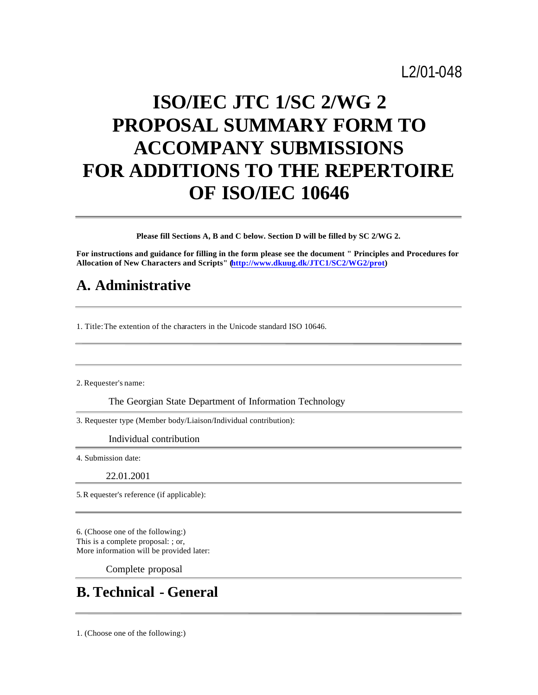# L2/01-048

# **ISO/IEC JTC 1/SC 2/WG 2 PROPOSAL SUMMARY FORM TO ACCOMPANY SUBMISSIONS FOR ADDITIONS TO THE REPERTOIRE OF ISO/IEC 10646**

**Please fill Sections A, B and C below. Section D will be filled by SC 2/WG 2.**

**For instructions and guidance for filling in the form please see the document " Principles and Procedures for Allocation of New Characters and Scripts" (http://www.dkuug.dk/JTC1/SC2/WG2/prot)**

### **A. Administrative**

1. Title: The extention of the characters in the Unicode standard ISO 10646.

2. Requester's name:

The Georgian State Department of Information Technology

3. Requester type (Member body/Liaison/Individual contribution):

Individual contribution

4. Submission date:

22.01.2001

5. R equester's reference (if applicable):

6. (Choose one of the following:) This is a complete proposal: ; or, More information will be provided later:

Complete proposal

### **B. Technical - General**

1. (Choose one of the following:)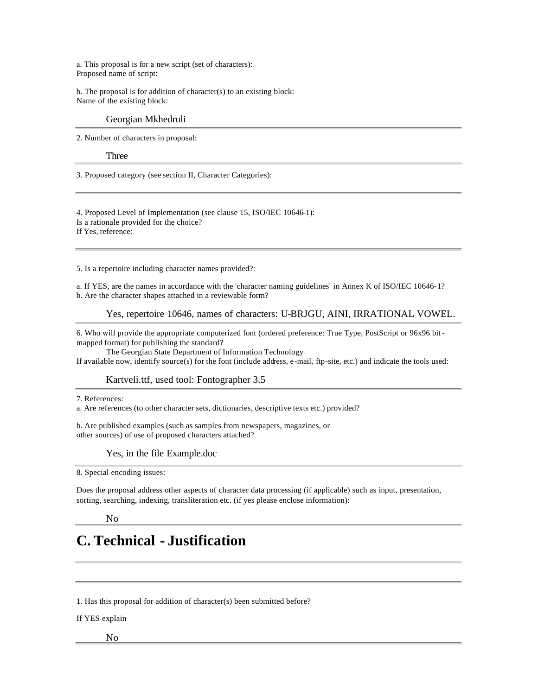a. This proposal is for a new script (set of characters): Proposed name of script:

b. The proposal is for addition of character(s) to an existing block: Name of the existing block:

#### Georgian Mkhedruli

2. Number of characters in proposal:

#### Three

3. Proposed category (see section II, Character Categories):

4. Proposed Level of Implementation (see clause 15, ISO/IEC 10646-1):

Is a rationale provided for the choice?

If Yes, reference:

5. Is a repertoire including character names provided?:

a. If YES, are the names in accordance with the 'character naming guidelines' in Annex K of ISO/IEC 10646-1? b. Are the character shapes attached in a reviewable form?

Yes, repertoire 10646, names of characters: U-BRJGU, AINI, IRRATIONAL VOWEL.

6. Who will provide the appropriate computerized font (ordered preference: True Type, PostScript or 96x96 bit mapped format) for publishing the standard?

 The Georgian State Department of Information Technology If available now, identify source(s) for the font (include address, e-mail, ftp-site, etc.) and indicate the tools used:

#### Kartveli.ttf, used tool: Fontographer 3.5

7. References:

a. Are references (to other character sets, dictionaries, descriptive texts etc.) provided?

b. Are published examples (such as samples from newspapers, magazines, or other sources) of use of proposed characters attached?

Yes, in the file Example.doc

8. Special encoding issues:

Does the proposal address other aspects of character data processing (if applicable) such as input, presentation, sorting, searching, indexing, transliteration etc. (if yes please enclose information):

No

### **C. Technical - Justification**

1. Has this proposal for addition of character(s) been submitted before?

If YES explain

No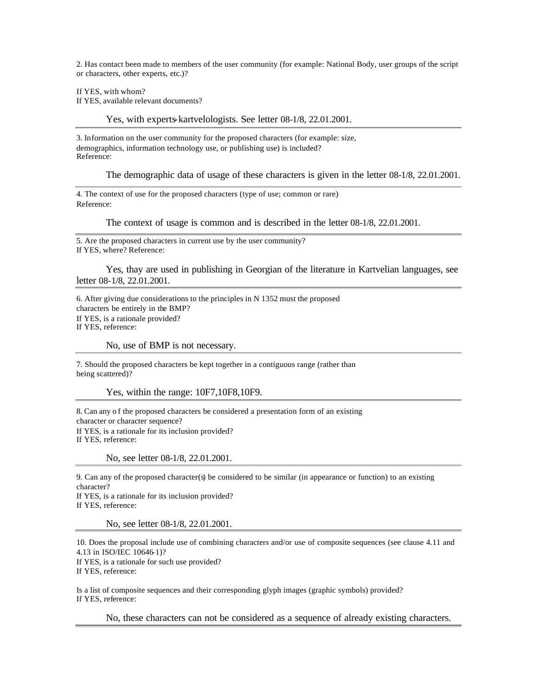2. Has contact been made to members of the user community (for example: National Body, user groups of the script or characters, other experts, etc.)?

If YES, with whom? If YES, available relevant documents?

Yes, with experts-kartvelologists. See letter 08-1/8, 22.01.2001.

3. Information on the user community for the proposed characters (for example: size, demographics, information technology use, or publishing use) is included? Reference:

The demographic data of usage of these characters is given in the letter 08-1/8, 22.01.2001.

4. The context of use for the proposed characters (type of use; common or rare) Reference:

The context of usage is common and is described in the letter 08-1/8, 22.01.2001.

5. Are the proposed characters in current use by the user community? If YES, where? Reference:

Yes, thay are used in publishing in Georgian of the literature in Kartvelian languages, see letter 08-1/8, 22.01.2001.

6. After giving due considerations to the principles in N 1352 must the proposed characters be entirely in the BMP? If YES, is a rationale provided? If YES, reference:

No, use of BMP is not necessary.

7. Should the proposed characters be kept together in a contiguous range (rather than being scattered)?

Yes, within the range: 10F7,10F8,10F9.

8. Can any o f the proposed characters be considered a presentation form of an existing character or character sequence? If YES, is a rationale for its inclusion provided? If YES, reference:

No, see letter 08-1/8, 22.01.2001.

9. Can any of the proposed character(s) be considered to be similar (in appearance or function) to an existing character?

If YES, is a rationale for its inclusion provided? If YES, reference:

No, see letter 08-1/8, 22.01.2001.

10. Does the proposal include use of combining characters and/or use of composite sequences (see clause 4.11 and 4.13 in ISO/IEC 10646-1)? If YES, is a rationale for such use provided? If YES, reference:

Is a list of composite sequences and their corresponding glyph images (graphic symbols) provided? If YES, reference:

No, these characters can not be considered as a sequence of already existing characters.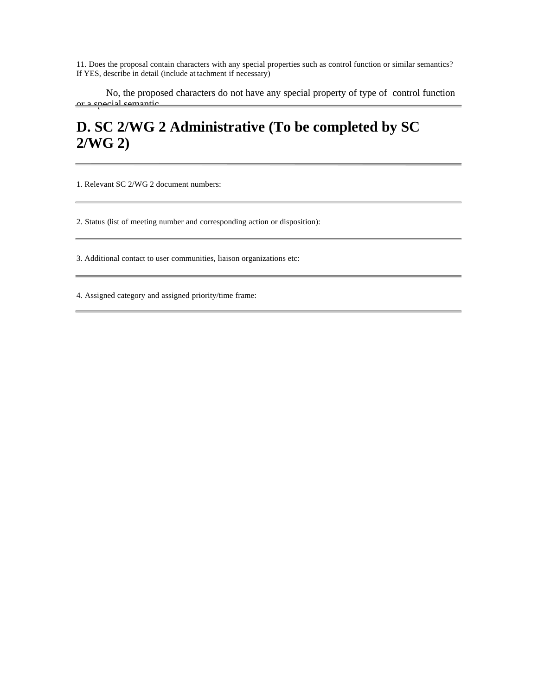11. Does the proposal contain characters with any special properties such as control function or similar semantics? If YES, describe in detail (include at tachment if necessary)

No, the proposed characters do not have any special property of type of control function or a special semantic.

## **D. SC 2/WG 2 Administrative (To be completed by SC 2/WG 2)**

1. Relevant SC 2/WG 2 document numbers:

2. Status (list of meeting number and corresponding action or disposition):

3. Additional contact to user communities, liaison organizations etc:

4. Assigned category and assigned priority/time frame: